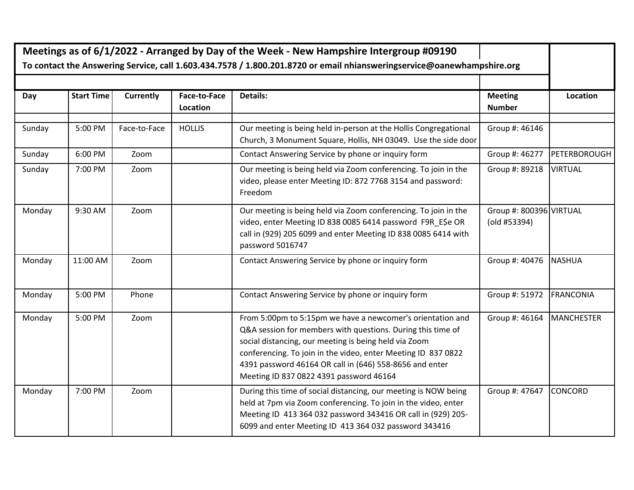| Meetings as of 6/1/2022 - Arranged by Day of the Week - New Hampshire Intergroup #09190                                |                   |                  |                          |                                                                                                                                                                                                                                                                                                                                                           |                                         |                   |
|------------------------------------------------------------------------------------------------------------------------|-------------------|------------------|--------------------------|-----------------------------------------------------------------------------------------------------------------------------------------------------------------------------------------------------------------------------------------------------------------------------------------------------------------------------------------------------------|-----------------------------------------|-------------------|
| To contact the Answering Service, call 1.603.434.7578 / 1.800.201.8720 or email nhiansweringservice@oanewhampshire.org |                   |                  |                          |                                                                                                                                                                                                                                                                                                                                                           |                                         |                   |
|                                                                                                                        |                   |                  |                          |                                                                                                                                                                                                                                                                                                                                                           |                                         |                   |
| Day                                                                                                                    | <b>Start Time</b> | <b>Currently</b> | Face-to-Face<br>Location | Details:                                                                                                                                                                                                                                                                                                                                                  | <b>Meeting</b><br><b>Number</b>         | Location          |
| Sunday                                                                                                                 | 5:00 PM           | Face-to-Face     | <b>HOLLIS</b>            | Our meeting is being held in-person at the Hollis Congregational<br>Church, 3 Monument Square, Hollis, NH 03049. Use the side door                                                                                                                                                                                                                        | Group #: 46146                          |                   |
| Sunday                                                                                                                 | 6:00 PM           | Zoom             |                          | Contact Answering Service by phone or inquiry form                                                                                                                                                                                                                                                                                                        | Group #: 46277                          | PETERBOROUGH      |
| Sunday                                                                                                                 | 7:00 PM           | Zoom             |                          | Our meeting is being held via Zoom conferencing. To join in the<br>video, please enter Meeting ID: 872 7768 3154 and password:<br>Freedom                                                                                                                                                                                                                 | Group #: 89218                          | <b>VIRTUAL</b>    |
| Monday                                                                                                                 | 9:30 AM           | Zoom             |                          | Our meeting is being held via Zoom conferencing. To join in the<br>video, enter Meeting ID 838 0085 6414 password F9R E\$e OR<br>call in (929) 205 6099 and enter Meeting ID 838 0085 6414 with<br>password 5016747                                                                                                                                       | Group #: 800396 VIRTUAL<br>(old #53394) |                   |
| Monday                                                                                                                 | 11:00 AM          | Zoom             |                          | Contact Answering Service by phone or inquiry form                                                                                                                                                                                                                                                                                                        | Group #: 40476                          | <b>NASHUA</b>     |
| Monday                                                                                                                 | 5:00 PM           | Phone            |                          | Contact Answering Service by phone or inquiry form                                                                                                                                                                                                                                                                                                        | Group #: 51972                          | <b>FRANCONIA</b>  |
| Monday                                                                                                                 | 5:00 PM           | Zoom             |                          | From 5:00pm to 5:15pm we have a newcomer's orientation and<br>Q&A session for members with questions. During this time of<br>social distancing, our meeting is being held via Zoom<br>conferencing. To join in the video, enter Meeting ID 837 0822<br>4391 password 46164 OR call in (646) 558-8656 and enter<br>Meeting ID 837 0822 4391 password 46164 | Group #: 46164                          | <b>MANCHESTER</b> |
| Monday                                                                                                                 | 7:00 PM           | Zoom             |                          | During this time of social distancing, our meeting is NOW being<br>held at 7pm via Zoom conferencing. To join in the video, enter<br>Meeting ID 413 364 032 password 343416 OR call in (929) 205-<br>6099 and enter Meeting ID 413 364 032 password 343416                                                                                                | Group #: 47647                          | <b>CONCORD</b>    |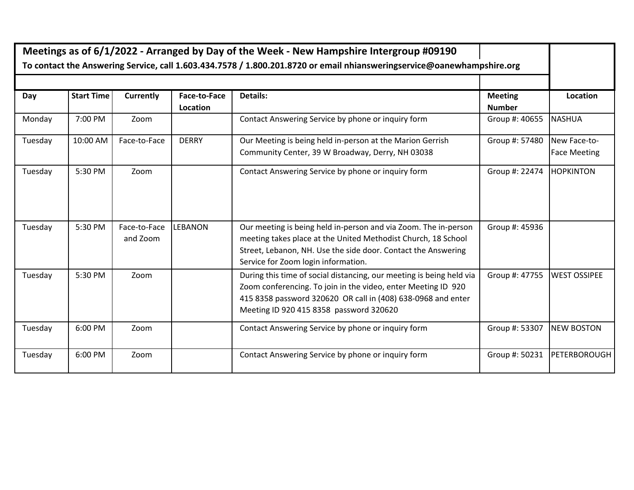| Meetings as of 6/1/2022 - Arranged by Day of the Week - New Hampshire Intergroup #09190                                |                   |                          |                                 |                                                                                                                                                                                                                                                  |                                 |                                     |
|------------------------------------------------------------------------------------------------------------------------|-------------------|--------------------------|---------------------------------|--------------------------------------------------------------------------------------------------------------------------------------------------------------------------------------------------------------------------------------------------|---------------------------------|-------------------------------------|
| To contact the Answering Service, call 1.603.434.7578 / 1.800.201.8720 or email nhiansweringservice@oanewhampshire.org |                   |                          |                                 |                                                                                                                                                                                                                                                  |                                 |                                     |
|                                                                                                                        |                   |                          |                                 |                                                                                                                                                                                                                                                  |                                 |                                     |
| Day                                                                                                                    | <b>Start Time</b> | <b>Currently</b>         | <b>Face-to-Face</b><br>Location | Details:                                                                                                                                                                                                                                         | <b>Meeting</b><br><b>Number</b> | Location                            |
| Monday                                                                                                                 | 7:00 PM           | Zoom                     |                                 | Contact Answering Service by phone or inquiry form                                                                                                                                                                                               | Group #: 40655                  | <b>NASHUA</b>                       |
| Tuesday                                                                                                                | 10:00 AM          | Face-to-Face             | <b>DERRY</b>                    | Our Meeting is being held in-person at the Marion Gerrish<br>Community Center, 39 W Broadway, Derry, NH 03038                                                                                                                                    | Group #: 57480                  | New Face-to-<br><b>Face Meeting</b> |
| Tuesday                                                                                                                | 5:30 PM           | Zoom                     |                                 | Contact Answering Service by phone or inquiry form                                                                                                                                                                                               | Group #: 22474                  | <b>HOPKINTON</b>                    |
| Tuesday                                                                                                                | 5:30 PM           | Face-to-Face<br>and Zoom | <b>LEBANON</b>                  | Our meeting is being held in-person and via Zoom. The in-person<br>meeting takes place at the United Methodist Church, 18 School<br>Street, Lebanon, NH. Use the side door. Contact the Answering<br>Service for Zoom login information.         | Group #: 45936                  |                                     |
| Tuesday                                                                                                                | 5:30 PM           | Zoom                     |                                 | During this time of social distancing, our meeting is being held via<br>Zoom conferencing. To join in the video, enter Meeting ID 920<br>415 8358 password 320620 OR call in (408) 638-0968 and enter<br>Meeting ID 920 415 8358 password 320620 | Group #: 47755                  | <b>WEST OSSIPEE</b>                 |
| Tuesday                                                                                                                | 6:00 PM           | Zoom                     |                                 | Contact Answering Service by phone or inquiry form                                                                                                                                                                                               | Group #: 53307                  | <b>NEW BOSTON</b>                   |
| Tuesday                                                                                                                | 6:00 PM           | Zoom                     |                                 | Contact Answering Service by phone or inquiry form                                                                                                                                                                                               | Group #: 50231                  | PETERBOROUGH                        |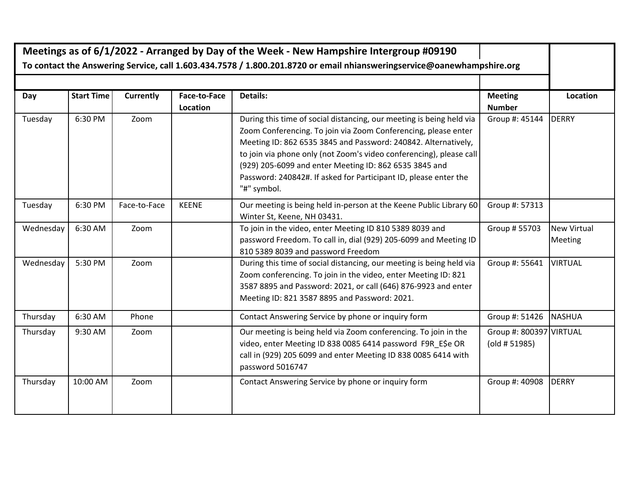| Meetings as of 6/1/2022 - Arranged by Day of the Week - New Hampshire Intergroup #09190<br>To contact the Answering Service, call 1.603.434.7578 / 1.800.201.8720 or email nhiansweringservice@oanewhampshire.org |                   |                  |                          |                                                                                                                                                                                                                                                                                                                                                                                                                              |                                                           |                                      |
|-------------------------------------------------------------------------------------------------------------------------------------------------------------------------------------------------------------------|-------------------|------------------|--------------------------|------------------------------------------------------------------------------------------------------------------------------------------------------------------------------------------------------------------------------------------------------------------------------------------------------------------------------------------------------------------------------------------------------------------------------|-----------------------------------------------------------|--------------------------------------|
|                                                                                                                                                                                                                   |                   |                  |                          |                                                                                                                                                                                                                                                                                                                                                                                                                              |                                                           |                                      |
| Day                                                                                                                                                                                                               | <b>Start Time</b> | <b>Currently</b> | Face-to-Face<br>Location | <b>Details:</b>                                                                                                                                                                                                                                                                                                                                                                                                              | <b>Meeting</b><br><b>Number</b>                           | Location                             |
| Tuesday                                                                                                                                                                                                           | 6:30 PM           | Zoom             |                          | During this time of social distancing, our meeting is being held via<br>Zoom Conferencing. To join via Zoom Conferencing, please enter<br>Meeting ID: 862 6535 3845 and Password: 240842. Alternatively,<br>to join via phone only (not Zoom's video conferencing), please call<br>(929) 205-6099 and enter Meeting ID: 862 6535 3845 and<br>Password: 240842#. If asked for Participant ID, please enter the<br>"#" symbol. | Group #: 45144                                            | <b>DERRY</b>                         |
| Tuesday                                                                                                                                                                                                           | 6:30 PM           | Face-to-Face     | <b>KEENE</b>             | Our meeting is being held in-person at the Keene Public Library 60<br>Winter St, Keene, NH 03431.                                                                                                                                                                                                                                                                                                                            | Group #: 57313                                            |                                      |
| Wednesday                                                                                                                                                                                                         | 6:30 AM           | Zoom             |                          | To join in the video, enter Meeting ID 810 5389 8039 and<br>password Freedom. To call in, dial (929) 205-6099 and Meeting ID<br>810 5389 8039 and password Freedom                                                                                                                                                                                                                                                           | Group # 55703                                             | <b>New Virtual</b><br><b>Meeting</b> |
| Wednesday                                                                                                                                                                                                         | 5:30 PM           | Zoom             |                          | During this time of social distancing, our meeting is being held via<br>Zoom conferencing. To join in the video, enter Meeting ID: 821<br>3587 8895 and Password: 2021, or call (646) 876-9923 and enter<br>Meeting ID: 821 3587 8895 and Password: 2021.                                                                                                                                                                    | Group #: 55641                                            | <b>VIRTUAL</b>                       |
| Thursday                                                                                                                                                                                                          | 6:30 AM           | Phone            |                          | Contact Answering Service by phone or inquiry form                                                                                                                                                                                                                                                                                                                                                                           | Group #: 51426                                            | <b>NASHUA</b>                        |
| Thursday                                                                                                                                                                                                          | 9:30 AM           | Zoom             |                          | Our meeting is being held via Zoom conferencing. To join in the<br>video, enter Meeting ID 838 0085 6414 password F9R_E\$e OR<br>call in (929) 205 6099 and enter Meeting ID 838 0085 6414 with<br>password 5016747                                                                                                                                                                                                          | Group #: 800397 VIRTUAL<br>$\left($ old # 51985 $\right)$ |                                      |
| Thursday                                                                                                                                                                                                          | 10:00 AM          | Zoom             |                          | Contact Answering Service by phone or inquiry form                                                                                                                                                                                                                                                                                                                                                                           | Group #: 40908                                            | <b>DERRY</b>                         |